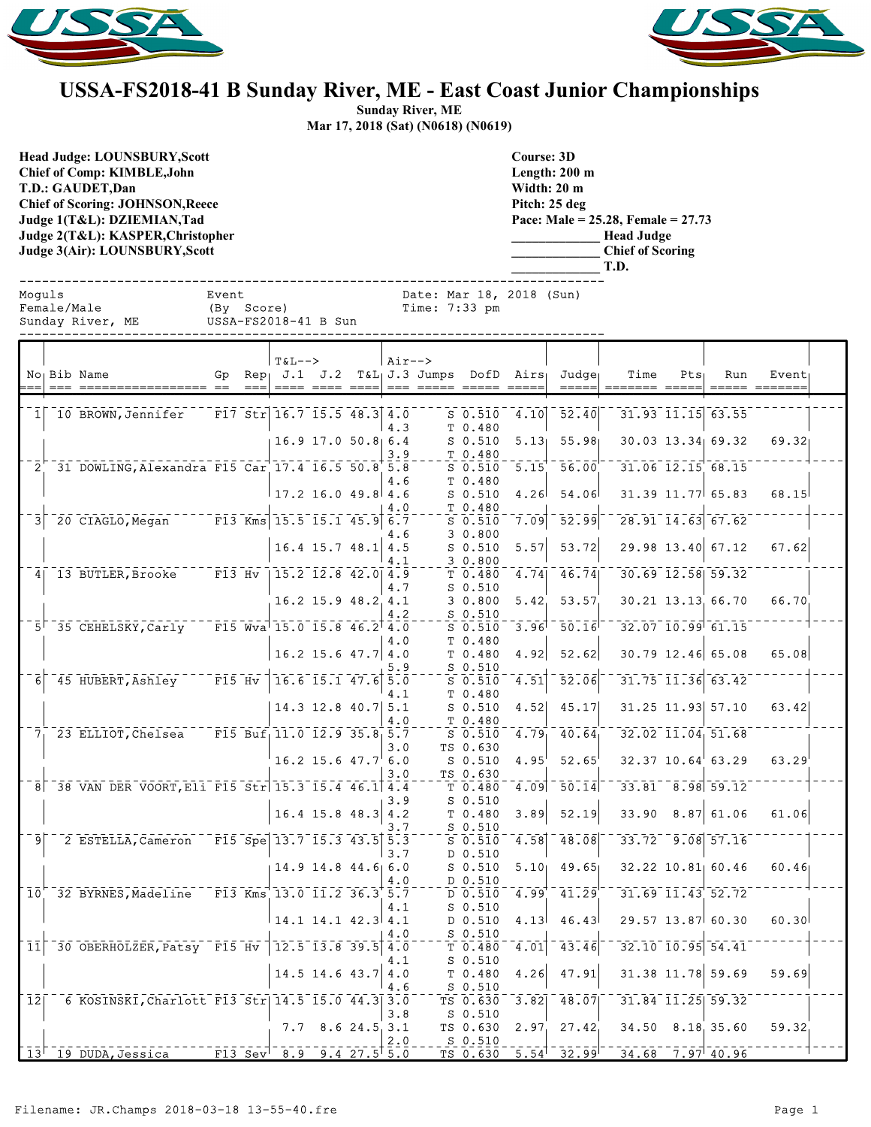



## **USSA-FS2018-41 B Sunday River, ME - East Coast Junior Championships**

**Sunday River, ME Mar 17, 2018 (Sat) (N0618) (N0619)**

**Head Judge: LOUNSBURY,Scott Chief of Comp: KIMBLE,John T.D.: GAUDET,Dan Chief of Scoring: JOHNSON,Reece Judge 1(T&L): DZIEMIAN,Tad Judge 2(T&L): KASPER,Christopher Judge 3(Air): LOUNSBURY,Scott** 

**Course: 3D Length: 200 m Width: 20 m Pitch: 25 deg Pace: Male = 25.28, Female = 27.73 \_\_\_\_\_\_\_\_\_\_\_\_\_ Head Judge \_\_\_\_\_\_\_\_\_\_\_\_\_ Chief of Scoring \_\_\_\_\_\_\_\_\_\_\_\_\_ T.D.**

| Moquls | Female/Male | Sunday River, ME                                   | Event<br>(By Score) | USSA-FS2018-41 B Sun                                                                        |                        |            | Date: Mar 18, 2018 (Sun)<br>Time: 7:33 pm |                                                        |                        |                                                |                       |                                                                                   |                   |                    |  |
|--------|-------------|----------------------------------------------------|---------------------|---------------------------------------------------------------------------------------------|------------------------|------------|-------------------------------------------|--------------------------------------------------------|------------------------|------------------------------------------------|-----------------------|-----------------------------------------------------------------------------------|-------------------|--------------------|--|
|        |             | No <sub>l</sub> Bib Name                           | Gp                  | $T&L--$<br>$Rep_1$ J.1 J.2                                                                  |                        | $Air--$    | $T_{\delta}L_{\vert}J.3$ Jumps DofD Airs  |                                                        |                        | Judge                                          | Time                  | $Pts_1$                                                                           | Run               | Event <sub>1</sub> |  |
|        |             | 1 10 BROWN, Jennifer                               |                     | F17 Str $16.7$ 15.5 48.3 4.0                                                                | 16.9 17.0 50.8 6.4     | 4.3        |                                           | $S$ 0.510<br>T 0.480<br>$S_0.510$                      | 4.10<br>5.13           | 52.40<br>55.98                                 |                       | 31.93 11.15 63.55<br>30.03 13.34 69.32                                            |                   | 69.32              |  |
|        |             | 2 31 DOWLING, Alexandra F15 Car 17.4 16.5 50.8 5.8 |                     |                                                                                             |                        | 3.9<br>4.6 |                                           | T 0.480<br>$S_0.510$<br>T 0.480                        | 5.15                   | 56.00                                          |                       | $31.06$ $12.15$ 68.15                                                             |                   |                    |  |
| 31     |             | 20 CIAGLO, Megan                                   |                     | $17.2$ 16.0 49.8 4.6<br>$\sqrt{13}$ Kms 15.5 15.1 45.9 6.7                                  |                        | 4.0<br>4.6 |                                           | $S_0.510$<br>T 0.480<br>$S$ 0.510<br>3 0.800           | 4.26<br>7.09           | 54.06<br>$\overline{52.99}$                    |                       | $31.39$ $11.77$ 65.83<br>$\overline{28.91}$ $\overline{14.63}$ $\overline{67.62}$ |                   | 68.15              |  |
|        |             | 4 13 BUTLER, Brooke                                |                     | $16.4$ 15.7 48.1 4.5<br>$\overline{F13}$ Hv $\overline{15.2}$ $\overline{12.8}$ 42.0 4.9    |                        | 4.1        |                                           | $S$ 0.510<br>3 0.800<br>T 0.480                        | 5.57<br>4.74           | 53.72<br>46.74                                 |                       | 29.98 13.40 67.12<br>$30.69$ $12.58$ $59.32$                                      |                   | 67.62              |  |
|        |             | 5 35 CEHELSKY, Carly                               |                     | $\overline{F15}$ Wva $\overline{15.0}$ $\overline{15.8}$ $\overline{46.2}$ $\overline{4.0}$ | 16.2 15.9 48.2 4.1     | 4.7<br>4.2 |                                           | $S$ 0.510<br>30.800<br>$S$ 0.510<br>$S$ 0.510          | 5.42<br>3.96           | 53.57<br>50.16                                 |                       | 30.21 13.13 66.70<br>$32.07$ $10.99$ $61.15$                                      |                   | 66.70              |  |
|        |             |                                                    |                     | $16.2$ 15.6 47.7 4.0                                                                        |                        | 4.0<br>5.9 |                                           | T 0.480<br>T 0.480<br>$S$ 0.510                        | 4.92                   | 52.62                                          |                       | $30.79$ 12.46 65.08                                                               |                   | 65.08              |  |
| 6      |             | 45 HUBERT, Ashley                                  |                     | $\overline{F15}$ Hv 16.6 15.1 47.6 5.0                                                      | $14.3$ 12.8 40.7 5.1   | 4.1<br>4.0 |                                           | $S$ 0.510<br>T 0.480<br>$S$ 0.510<br>T 0.480           | 4.51<br>4.52           | $\bar{5}\bar{2}\bar{.}\bar{0}\bar{6}$<br>45.17 |                       | $31.75$ $11.36$ $63.42$<br>31.25 11.93 57.10                                      |                   | 63.42              |  |
|        |             | 7 23 ELLIOT, Chelsea                               |                     | $\overline{F15}$ Buf <sub>1</sub> 11.0 12.9 35.8 5.7                                        | $16.2$ 15.6 $47.7$ 6.0 | 3.0        |                                           | $S$ 0.510<br>TS 0.630<br>$S$ 0.510                     | 4.79<br>$4.95^{\circ}$ | 40.64<br>52.65                                 |                       | $32.02$ $11.04$ $51.68$<br>$32.37$ $10.64$ 63.29                                  |                   | 63.29              |  |
|        |             | 8 38 VAN DER VOORT, Eli F15 Str 15.3 15.4 46.1 4.4 |                     | $16.4$ 15.8 48.3 4.2                                                                        |                        | 3.0<br>3.9 |                                           | TS 0.630<br>T <sub>0.480</sub><br>$S_0.510$<br>T 0.480 | 4.09<br>3.89           | $^-$ 50.14<br>52.19                            |                       | $33.81 - 8.98$ 59.12<br>$33.90$ $8.87$ 61.06                                      |                   | 61.06              |  |
| 91     |             | 2 ESTELLA, Cameron F15 Spe 13.7 15.3 43.5 5.3      |                     |                                                                                             |                        | 3.7<br>3.7 |                                           | $S_0.510$<br>$S$ 0.510<br>D 0.510                      | 4.58                   | 48.08                                          |                       | $33.72 - 9.08$ 57.16                                                              |                   |                    |  |
|        |             | 10 32 BYRNES, Madeline F13 Kms 13.0 11.2 36.3 5.7  |                     |                                                                                             | 14.9 14.8 44.6 6.0     | 4.0        |                                           | $S$ 0.510<br>D 0.510<br>D 0.510                        | 5.10<br>4.99           | 49.65<br>41.29                                 |                       | $32.22$ 10.81 60.46<br>31.69 11.43 52.72                                          |                   | 60.46              |  |
|        |             | 11 30 OBERHOLZER, Patsy F15 Hv 12.5 13.8 39.5 4.0  |                     | $14.1$ $14.1$ $42.3$ $4.1$                                                                  |                        | 4.1<br>4.0 |                                           | $S_0.510$<br>D 0.510<br>$S$ 0.510<br>T 0.480           | 4.13<br>4.01           | 46.43<br>$-43.46$                              |                       | 29.57 13.87 60.30<br>$32.10$ $10.95$ $54.41$                                      |                   | 60.30              |  |
|        |             |                                                    |                     |                                                                                             | $14.5$ 14.6 43.7 4.0   | 4.1<br>4.6 |                                           | $S_0.510$<br>T 0.480<br>$S_0.510$                      | 4.26                   | 47.91                                          |                       |                                                                                   | 31.38 11.78 59.69 | 59.69              |  |
| 12     |             | 6 KOSINSKI, Charlott F13 Str   14.5 15.0 44.3 3.0  |                     |                                                                                             | $7.7$ 8.6 24.5 3.1     | 3.8<br>2.0 |                                           | TS 0.630<br>S 0.510<br>TS 0.630<br>$S_0.510$           | 3.82<br>2.97           | 48.07<br>27.42                                 | $31.84$ $11.25$ 59.32 | $34.50$ $8.18$ 35.60                                                              |                   | 59.32              |  |
|        |             | $13^{\dagger}$ 19 DUDA, Jessica                    |                     | $\overline{F13}$ Sev 8.9 9.4 27.5 5.0                                                       |                        |            |                                           | TS 0.630                                               |                        | $-5.54$ <sup>1</sup> $-32.99$ <sup>-1</sup>    | $34.68$ 7.97 40.96    |                                                                                   |                   |                    |  |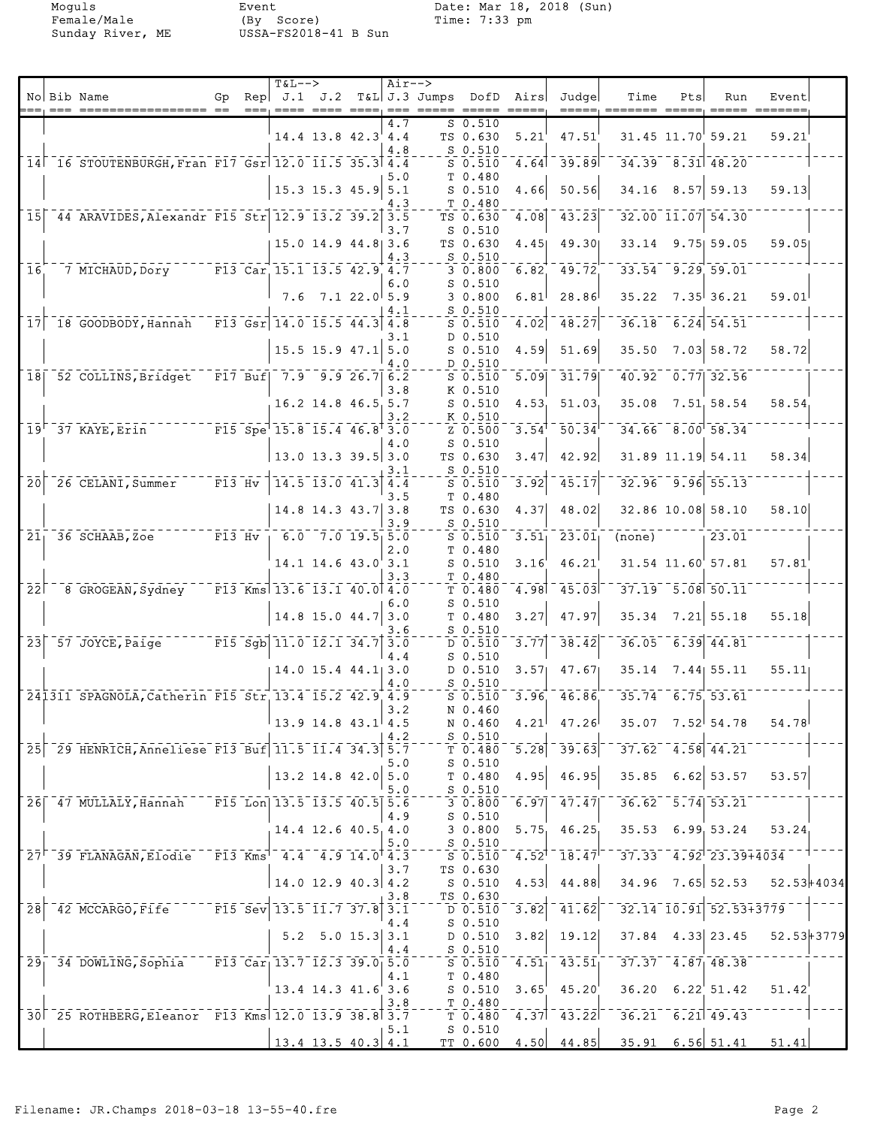|                 |                                                               |                                |        | $T&L-->$                                                                                                                                                                                                                                                                                                      |                          | $Air--$     |                         |                                                      |       |                                                 |                                    |     |                                                               |                |  |
|-----------------|---------------------------------------------------------------|--------------------------------|--------|---------------------------------------------------------------------------------------------------------------------------------------------------------------------------------------------------------------------------------------------------------------------------------------------------------------|--------------------------|-------------|-------------------------|------------------------------------------------------|-------|-------------------------------------------------|------------------------------------|-----|---------------------------------------------------------------|----------------|--|
|                 | No Bib Name                                                   | Gp                             |        | $\text{Rep}$ $J.1$ $J.2$                                                                                                                                                                                                                                                                                      |                          | $=$ $=$ $=$ | T&L J.3 Jumps DofD Airs |                                                      |       | Judge                                           | Time                               | Pts | Run                                                           | Event          |  |
|                 |                                                               |                                |        |                                                                                                                                                                                                                                                                                                               |                          | 4.7         |                         | $S_0.510$                                            |       |                                                 |                                    |     |                                                               |                |  |
|                 |                                                               |                                |        |                                                                                                                                                                                                                                                                                                               | $14.4$ 13.8 $42.3$ 4.4   |             |                         | TS 0.630                                             | 5.21  | 47.51                                           |                                    |     | 31.45 11.70 59.21                                             | 59.21          |  |
|                 |                                                               |                                |        |                                                                                                                                                                                                                                                                                                               |                          | 4.8         |                         | $S$ 0.510                                            |       |                                                 |                                    |     |                                                               |                |  |
|                 | 14 16 STOUTENBURGH, Fran F17 Gsr 12.0 11.5 35.3 4.4           |                                |        |                                                                                                                                                                                                                                                                                                               |                          |             |                         | $S$ 0.510                                            | 4.64  | $-39.89$                                        | $34.39 - 8.31 - 48.20$             |     |                                                               |                |  |
|                 |                                                               |                                |        |                                                                                                                                                                                                                                                                                                               |                          | 5.0         |                         | T <sub>0.480</sub>                                   |       |                                                 |                                    |     |                                                               |                |  |
|                 |                                                               |                                |        |                                                                                                                                                                                                                                                                                                               | 15.3 15.3 45.9           | 5.1         |                         | $S$ 0.510                                            | 4.66  | 50.56                                           |                                    |     | $34.16$ 8.57 59.13                                            | 59.13          |  |
| 15 <sup>1</sup> | 44 ARAVIDES, Alexandr F15 Str 12.9 13.2 39.2 3.5              |                                |        |                                                                                                                                                                                                                                                                                                               |                          | 4.3         |                         | T 0.480<br>TS 0.630                                  | 4.08  | 43.23                                           | 32.00 11.07 54.30                  |     |                                                               |                |  |
|                 |                                                               |                                |        |                                                                                                                                                                                                                                                                                                               |                          | 3.7         |                         | $S_0.510$                                            |       |                                                 |                                    |     |                                                               |                |  |
|                 |                                                               |                                |        |                                                                                                                                                                                                                                                                                                               | 15.0 14.9 44.8 3.6       |             |                         | TS 0.630                                             | 4.45  | 49.30                                           | 33.14                              |     | 9.75159.05                                                    | 59.05          |  |
|                 |                                                               |                                |        |                                                                                                                                                                                                                                                                                                               |                          | 4.3         |                         | $S_{0.510}$                                          |       |                                                 |                                    |     |                                                               |                |  |
| 16              | 7 MICHAUD, Dory F13 Car 15.1 13.5 42.9 4.7                    |                                |        |                                                                                                                                                                                                                                                                                                               |                          |             |                         | 30.800                                               | 6.82  | 49.72                                           | $33.54$ $9.29$ 59.01               |     |                                                               |                |  |
|                 |                                                               |                                |        |                                                                                                                                                                                                                                                                                                               |                          | 6.0         |                         | $S$ 0.510                                            |       |                                                 |                                    |     |                                                               |                |  |
|                 |                                                               |                                |        | 7.6                                                                                                                                                                                                                                                                                                           | 7.122.055.9              |             |                         | 30.800                                               | 6.81  | 28.86                                           | 35.22                              |     | 7.35 36.21                                                    | 59.01          |  |
| 17              | 18 GOODBODY, Hannah                                           |                                |        | F13 Gsr $14.0$ 15.5 44.3 4.8                                                                                                                                                                                                                                                                                  |                          | 4.1         |                         | $S_0.510$<br>$S$ 0.510                               | 4.02  | 48.27                                           | 36.18                              |     | $6.24$ 54.51                                                  |                |  |
|                 |                                                               |                                |        |                                                                                                                                                                                                                                                                                                               |                          | 3.1         |                         | D 0.510                                              |       |                                                 |                                    |     |                                                               |                |  |
|                 |                                                               |                                |        |                                                                                                                                                                                                                                                                                                               | $15.5$ 15.9 47.1 5.0     |             |                         | $S$ 0.510                                            | 4.59  | 51.69                                           | 35.50                              |     | $7.03$ 58.72                                                  | 58.72          |  |
|                 |                                                               |                                |        |                                                                                                                                                                                                                                                                                                               |                          | 4.0         |                         | D 0.510                                              |       |                                                 |                                    |     |                                                               |                |  |
|                 | 18 52 COLLINS, Bridget                                        |                                |        | $\begin{bmatrix} 17 & 12 & 16 \\ 10 & 10 & 16 \\ 11 & 10 & 16 \\ 11 & 10 & 16 \\ 11 & 10 & 16 \\ 11 & 10 & 16 \\ 11 & 10 & 16 \\ 11 & 10 & 16 \\ 11 & 10 & 16 \\ 11 & 10 & 16 \\ 11 & 10 & 16 \\ 11 & 10 & 16 \\ 11 & 10 & 16 \\ 11 & 10 & 16 \\ 11 & 10 & 16 \\ 11 & 10 & 16 \\ 11 & 10 & 16 \\ 11 & 10 & 1$ |                          |             |                         | $S$ 0.510                                            | 5.09  | 31.79                                           |                                    |     | $40.92 - 0.77$ 32.56                                          |                |  |
|                 |                                                               |                                |        |                                                                                                                                                                                                                                                                                                               |                          | 3.8         |                         | K 0.510                                              |       |                                                 |                                    |     |                                                               |                |  |
|                 |                                                               |                                |        |                                                                                                                                                                                                                                                                                                               | 16.2 14.8 46.5 5.7       |             |                         | $S$ 0.510                                            | 4.53  | 51.03                                           | 35.08                              |     | 7.51, 58.54                                                   | 58.54          |  |
|                 | $F15$ Spe 15.8 15.4 46.8 3.0<br>$19-37$ KAYE, Erin            |                                |        |                                                                                                                                                                                                                                                                                                               |                          | 3.2         |                         | K 0.510<br>Z 0.500                                   | 3.54  | $\overline{50.34}$                              | $34.66$ $8.00$ $58.34$             |     |                                                               |                |  |
|                 |                                                               |                                |        |                                                                                                                                                                                                                                                                                                               |                          | 4.0         |                         | $S$ 0.510                                            |       |                                                 |                                    |     |                                                               |                |  |
|                 |                                                               |                                |        |                                                                                                                                                                                                                                                                                                               | $13.0$ 13.3 39.5 3.0     |             |                         | TS 0.630                                             | 3.47  | 42.92                                           |                                    |     | 31.89 11.19 54.11                                             | 58.34          |  |
|                 |                                                               |                                |        |                                                                                                                                                                                                                                                                                                               |                          | 3.1         |                         | $S$ 0.510                                            |       |                                                 |                                    |     |                                                               |                |  |
| 20              | 26 CELANI, Summer                                             | $ -\frac{}{F13}$ $\frac{}{HV}$ |        | $14.5$ $13.0$ $41.3$ $4.4$                                                                                                                                                                                                                                                                                    |                          |             |                         | $S$ 0.510                                            | 3.92  | 45.17                                           |                                    |     | $32.96$ $9.96$ $55.13$                                        |                |  |
|                 |                                                               |                                |        |                                                                                                                                                                                                                                                                                                               |                          | 3.5         |                         | T <sub>0.480</sub>                                   |       |                                                 |                                    |     |                                                               |                |  |
|                 |                                                               |                                |        |                                                                                                                                                                                                                                                                                                               | 14.8 14.3 43.7 3.8       |             |                         | TS 0.630                                             | 4.37  | 48.02                                           | 32.86 10.08 58.10                  |     |                                                               | 58.10          |  |
| $21_{1}$        | 36 SCHAAB,Zoe                                                 |                                | F13 Hv |                                                                                                                                                                                                                                                                                                               | $6.0$ $7.0$ $19.5$ $5.0$ | 3.9         |                         | S 0.510<br>$S$ 0.510                                 | 3.51  | 23.01                                           | (none)                             |     | 123.01                                                        |                |  |
|                 |                                                               |                                |        |                                                                                                                                                                                                                                                                                                               |                          | 2.0         |                         | T 0.480                                              |       |                                                 |                                    |     |                                                               |                |  |
|                 |                                                               |                                |        |                                                                                                                                                                                                                                                                                                               | 14.1 14.6 43.0 3.1       |             |                         | $S$ 0.510                                            | 3.16' | 46.21                                           | 31.54 11.60 57.81                  |     |                                                               | 57.81          |  |
|                 |                                                               |                                |        |                                                                                                                                                                                                                                                                                                               |                          | 3.3         |                         | T 0.480                                              |       |                                                 |                                    |     |                                                               |                |  |
| 22 <sub>1</sub> | 8 GROGEAN, Sydney                                             |                                |        | $\overline{F13}$ Kms 13.6 13.1 40.0 4.0                                                                                                                                                                                                                                                                       |                          |             |                         | T 0.480                                              | 4.98  | 45.03                                           | $37.19 - 5.08 - 50.11$             |     |                                                               |                |  |
|                 |                                                               |                                |        |                                                                                                                                                                                                                                                                                                               |                          | 6.0         |                         | $S_0.510$                                            |       |                                                 |                                    |     |                                                               |                |  |
|                 |                                                               |                                |        |                                                                                                                                                                                                                                                                                                               | 14.8 15.0 44.7           | 3.0<br>3.6  |                         | T 0.480<br>$S_0.510$                                 | 3.27  | 47.97                                           | 35.34                              |     | $7.21$ 55.18                                                  | 55.18          |  |
|                 | $23$ $57$ JOYCE, Paige                                        |                                |        | $\sqrt{15}$ Sgb 11.0 12.1 34.7 3.0                                                                                                                                                                                                                                                                            |                          |             |                         | D 0.510                                              | 3.77  | 38.42                                           | 36.05                              |     | $6.39$ 44.81                                                  |                |  |
|                 |                                                               |                                |        |                                                                                                                                                                                                                                                                                                               |                          | 4.4         |                         | $S$ 0.510                                            |       |                                                 |                                    |     |                                                               |                |  |
|                 |                                                               |                                |        |                                                                                                                                                                                                                                                                                                               | $14.0$ 15.4 $44.1$ 3.0   |             |                         | D 0.510                                              | 3.57  | 47.67                                           | 35.14                              |     | $7.44$ 55.11                                                  | 55.11          |  |
|                 |                                                               |                                |        |                                                                                                                                                                                                                                                                                                               |                          | 4.0         |                         | $S$ 0.510                                            |       |                                                 |                                    |     |                                                               |                |  |
|                 | 241311 SPAGNOLA, Catherin F15 Str 13.4 15.2 42.9 4.9          |                                |        |                                                                                                                                                                                                                                                                                                               |                          |             |                         | $S$ 0.510                                            |       | 3.96, 46.86                                     | 35.74 6.75 53.61                   |     |                                                               |                |  |
|                 |                                                               |                                |        |                                                                                                                                                                                                                                                                                                               | $13.9$ 14.8 $43.1$ 4.5   | 3.2         |                         | N 0.460<br>N 0.460                                   | 4.21  | 47.26                                           |                                    |     | $35.07$ $7.52$ $54.78$                                        | 54.78          |  |
|                 |                                                               |                                |        |                                                                                                                                                                                                                                                                                                               |                          | 4.2         |                         | $S_0.510$                                            |       |                                                 |                                    |     |                                                               |                |  |
|                 | 25 29 HENRICH, Anneliese F13 Buf 11.5 11.4 34.3 5.7           |                                |        |                                                                                                                                                                                                                                                                                                               |                          |             |                         | T0.480                                               | 5.28  | $-39.63$                                        | $-37.62 - 4.58$ 44.21              |     |                                                               |                |  |
|                 |                                                               |                                |        |                                                                                                                                                                                                                                                                                                               |                          | 5.0         |                         | $S_0.510$                                            |       |                                                 |                                    |     |                                                               |                |  |
|                 |                                                               |                                |        |                                                                                                                                                                                                                                                                                                               | $13.2$ 14.8 42.0 5.0     |             |                         | T <sub>0.480</sub>                                   | 4.95  | 46.95                                           |                                    |     | $35.85$ 6.62 53.57                                            | 53.57          |  |
|                 |                                                               |                                |        |                                                                                                                                                                                                                                                                                                               |                          | 5.0         |                         | $S$ 0.510                                            |       |                                                 |                                    |     |                                                               |                |  |
|                 | 26 47 MULLALY, Hannah                                         |                                |        | $\overline{F15}$ Lon 13.5 13.5 40.5 5.6                                                                                                                                                                                                                                                                       |                          |             |                         | 30.800                                               | 6.97  | 47.47                                           |                                    |     | $36.62 - 5.74$ 53.21                                          |                |  |
|                 |                                                               |                                |        |                                                                                                                                                                                                                                                                                                               | $14.4$ 12.6 40.5 4.0     | 4.9         |                         | S 0.510<br>30.800                                    | 5.75  | 46.25                                           |                                    |     | 35.53 6.99 53.24                                              | 53.24          |  |
|                 |                                                               |                                |        |                                                                                                                                                                                                                                                                                                               |                          | 5.0         |                         | $S$ 0.510                                            |       |                                                 |                                    |     |                                                               |                |  |
|                 | 27 39 FLANAGAN, Elodie F13 Kms <sup>1-</sup> 4.4 4.9 14.0 4.3 |                                |        |                                                                                                                                                                                                                                                                                                               |                          |             |                         | $\overline{\text{s}}$ $\overline{\text{o}}$ .510     |       | $\frac{1}{4.52}$ <sup>+</sup> $\frac{1}{18.47}$ | $-37.33 - 4.92 - 23.39 + 4034$     |     |                                                               |                |  |
|                 |                                                               |                                |        |                                                                                                                                                                                                                                                                                                               |                          | 3.7         |                         | TS 0.630                                             |       |                                                 |                                    |     |                                                               |                |  |
|                 |                                                               |                                |        |                                                                                                                                                                                                                                                                                                               | $14.0$ 12.9 40.3 4.2     |             |                         | S 0.510                                              | 4.53  | 44.88                                           |                                    |     | $34.96$ 7.65 52.53                                            | $52.53 + 4034$ |  |
|                 |                                                               |                                |        |                                                                                                                                                                                                                                                                                                               |                          | 3.8         |                         | TS 0.630                                             |       |                                                 |                                    |     |                                                               |                |  |
| $\overline{28}$ | $42$ MCCARGO, Fife                                            |                                |        | $-$ F15 Sev 13.5 11.7 37.8 3.1                                                                                                                                                                                                                                                                                |                          |             |                         | $\overline{D}$ $\overline{0.510}$ $\overline{0.510}$ | 3.82  | 41.62                                           |                                    |     | $\overline{32.14}$ $\overline{10.91}$ $\overline{52.53+3779}$ |                |  |
|                 |                                                               |                                |        |                                                                                                                                                                                                                                                                                                               | $5.2$ $5.0$ $15.3$ $3.1$ | 4.4         |                         | $S$ 0.510<br>D 0.510                                 | 3.82  | 19.12                                           |                                    |     | $37.84$ 4.33 23.45                                            | 52.53+3779     |  |
|                 |                                                               |                                |        |                                                                                                                                                                                                                                                                                                               |                          | 4.4         |                         | $S_{0.510}$                                          |       |                                                 |                                    |     |                                                               |                |  |
|                 | 29 34 DOWLING, Sophia F13 Car 13.7 12.3 39.0 5.0              |                                |        |                                                                                                                                                                                                                                                                                                               |                          |             |                         | $S$ 0.510                                            |       | $4.51$ <sup>-</sup> $43.51$ <sup>-</sup>        | $-37.37 - 4.87$ <sub>1</sub> 48.38 |     |                                                               |                |  |
|                 |                                                               |                                |        |                                                                                                                                                                                                                                                                                                               |                          | 4.1         |                         | T 0.480                                              |       |                                                 |                                    |     |                                                               |                |  |
|                 |                                                               |                                |        |                                                                                                                                                                                                                                                                                                               | $13.4$ 14.3 $41.6$ 3.6   |             |                         | $S$ 0.510                                            | 3.65' | 45.20                                           |                                    |     | $36.20$ $6.22$ $51.42$                                        | 51.42          |  |
|                 |                                                               |                                |        |                                                                                                                                                                                                                                                                                                               |                          | 3.8         |                         | $T$ 0.480                                            |       |                                                 |                                    |     |                                                               |                |  |
|                 | 30 25 ROTHBERG, Eleanor F13 Kms 12.0 13.9 38.8 3.7            |                                |        |                                                                                                                                                                                                                                                                                                               |                          | 5.1         |                         | $T$ 0.480<br>$S$ 0.510                               |       | $\overline{4.37}$ $\overline{43.22}$            | $-36.21 - 6.21 - 49.43$            |     |                                                               |                |  |
|                 |                                                               |                                |        |                                                                                                                                                                                                                                                                                                               | $13.4$ 13.5 40.3 4.1     |             |                         | TT 0.600                                             |       |                                                 | 4.50 $44.85$ 35.91 6.56 51.41      |     |                                                               | 51.41          |  |
|                 |                                                               |                                |        |                                                                                                                                                                                                                                                                                                               |                          |             |                         |                                                      |       |                                                 |                                    |     |                                                               |                |  |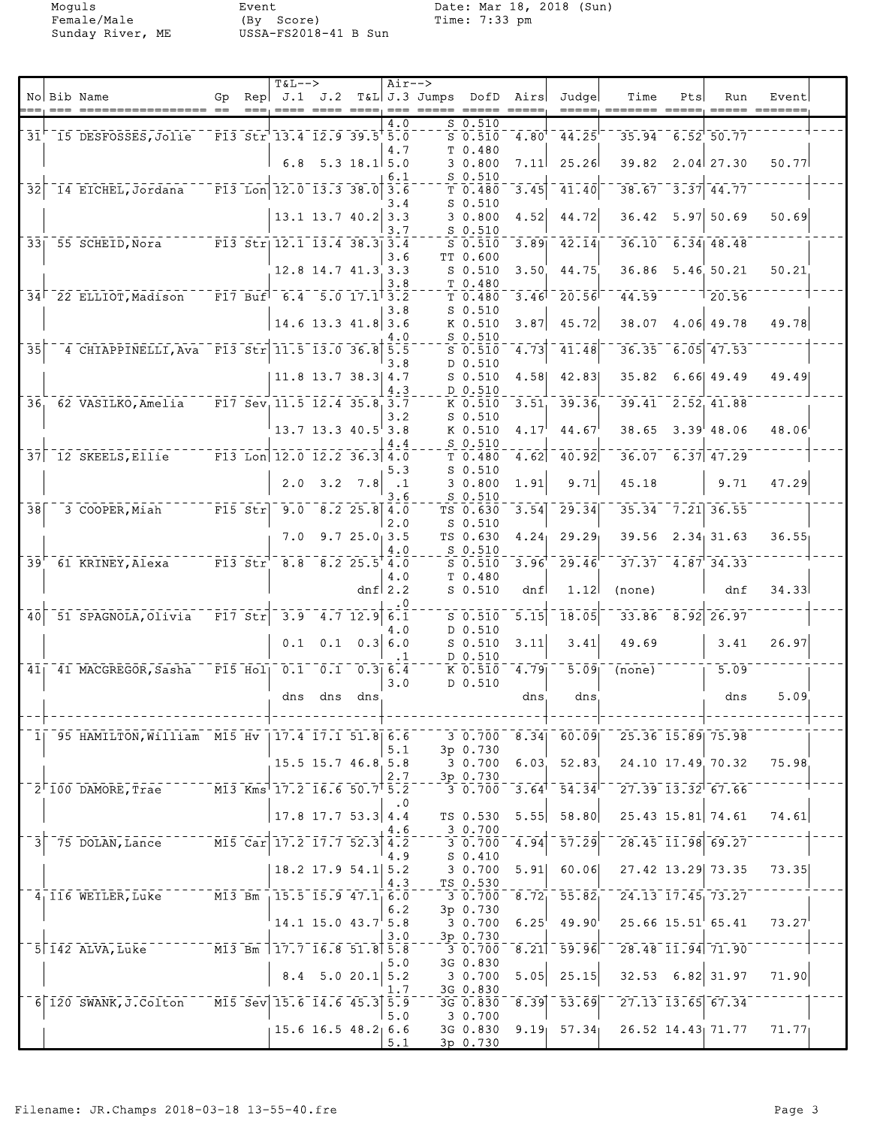|                 |                                                    |                                    |                      | <b>T&amp;L--&gt;</b>                                                                                |             |                              | $Air--$              |                         |                        |               |                                      |                                                                                     |     |                        |       |  |
|-----------------|----------------------------------------------------|------------------------------------|----------------------|-----------------------------------------------------------------------------------------------------|-------------|------------------------------|----------------------|-------------------------|------------------------|---------------|--------------------------------------|-------------------------------------------------------------------------------------|-----|------------------------|-------|--|
|                 | No Bib Name                                        | Gp                                 |                      | $\text{Rep}$ J.1 J.2                                                                                |             | ---- ---- ---                |                      | T&L J.3 Jumps DofD Airs |                        |               | Judge                                | Time                                                                                | Pts | Run<br>$=====$         | Event |  |
|                 |                                                    |                                    |                      |                                                                                                     |             |                              | 4.0                  |                         | $S_0.510$              |               |                                      |                                                                                     |     |                        |       |  |
|                 | 31 15 DESFOSSES, Jolie                             |                                    |                      | F13 Str 13.4 12.9 39.5 5.0                                                                          |             |                              |                      |                         | $5\overline{0.510}$    | $4.80^{T}$    | 44.25                                |                                                                                     |     | 35.94 6.52 50.77       |       |  |
|                 |                                                    |                                    |                      |                                                                                                     |             |                              | 4.7                  |                         | T 0.480                |               |                                      |                                                                                     |     |                        |       |  |
|                 |                                                    |                                    |                      | 6.8                                                                                                 |             | $5.3$ 18.1 $5.0$             | 6.1                  |                         | 30.800<br>$S_0.510$    | 7.11          | 25.26                                | 39.82                                                                               |     | $2.04$ $27.30$         | 50.77 |  |
| 32              | 14 EICHEL, Jordana                                 |                                    |                      | $\begin{bmatrix} 13 & 10n & 12 & 0 & 13 & 3 & 38 & 0 \end{bmatrix}$                                 |             |                              | 3.6                  |                         | T 0.480                | 3.45          | 41.40                                |                                                                                     |     | $38.67 - 3.37$ 44.77   |       |  |
|                 |                                                    |                                    |                      |                                                                                                     |             |                              | 3.4                  |                         | $S_0.510$              |               |                                      |                                                                                     |     |                        |       |  |
|                 |                                                    |                                    |                      |                                                                                                     |             | $13.1$ $13.7$ $40.2$ 3.3     |                      |                         | 30.800                 | 4.52          | 44.72                                | 36.42                                                                               |     | $5.97$ $50.69$         | 50.69 |  |
|                 | 33 55 SCHEID, Nora                                 |                                    |                      | F13 Str 12.1 13.4 38.3 3.4                                                                          |             |                              | 3.7                  |                         | $S$ 0.510<br>$S$ 0.510 | 3.89          | 42.14                                |                                                                                     |     | 36.10 6.34 48.48       |       |  |
|                 |                                                    |                                    |                      |                                                                                                     |             |                              | 3.6                  |                         | TT 0.600               |               |                                      |                                                                                     |     |                        |       |  |
|                 |                                                    |                                    |                      |                                                                                                     |             | $12.8$ 14.7 41.3 3.3         |                      |                         | $S$ 0.510              | 3.50          | 44.75                                | 36.86                                                                               |     | 5.46.50.21             | 50.21 |  |
|                 | $34^{\dagger}$ 22 ELLIOT, Madison                  |                                    |                      | $\overline{F17}$ Buf $\overline{6.4}$ $\overline{5.0}$ $\overline{17.1}$ $\overline{3.2}$           |             |                              | 3.8                  |                         | T 0.480<br>T 0.480     | 3.46          | 20.56                                | 44.59                                                                               |     | $\frac{1}{20.56}$      |       |  |
|                 |                                                    |                                    |                      |                                                                                                     |             |                              | 3.8                  |                         | $S$ 0.510              |               |                                      |                                                                                     |     |                        |       |  |
|                 |                                                    |                                    |                      |                                                                                                     |             | $14.6$ 13.3 $41.8$ 3.6       |                      |                         | K 0.510                | 3.87          | 45.72                                | 38.07                                                                               |     | $4.06$ 49.78           | 49.78 |  |
| 35 <sub>1</sub> | 4 CHIAPPINELLI, Ava F13 Str 11.5 13.0 36.8 5.5     |                                    |                      |                                                                                                     |             |                              | 4.O                  |                         | $S$ 0.510<br>$S$ 0.510 | 4.73          | 41.48                                | 36.35                                                                               |     | $6.05$ 47.53           |       |  |
|                 |                                                    |                                    |                      |                                                                                                     |             |                              | 3.8                  |                         | D 0.510                |               |                                      |                                                                                     |     |                        |       |  |
|                 |                                                    |                                    |                      |                                                                                                     |             | $11.8$ 13.7 38.3 4.7         |                      |                         | $S_0.510$              | 4.58          | 42.83                                | 35.82                                                                               |     | $6.66$ 49.49           | 49.49 |  |
|                 |                                                    |                                    |                      |                                                                                                     |             |                              | 4.3                  |                         | D 0.510                |               |                                      |                                                                                     |     |                        |       |  |
|                 | 36 62 VASILKO, Amelia                              |                                    |                      | $F17$ Sev, 11.5 12.4 35.8 3.7                                                                       |             |                              | 3.2                  |                         | K 0.510<br>$S_0.510$   | 3.51          | 39.36                                |                                                                                     |     | $39.41$ $2.52$ $41.88$ |       |  |
|                 |                                                    |                                    |                      |                                                                                                     |             | $13.7$ 13.3 40.5 3.8         |                      |                         | K 0.510                | 4.17          | 44.67                                | 38.65                                                                               |     | $3.39^{+}48.06$        | 48.06 |  |
|                 |                                                    |                                    |                      |                                                                                                     |             |                              | 4.4                  |                         | $S$ 0.510              |               |                                      |                                                                                     |     |                        |       |  |
|                 | 37 12 SKEELS, Ellie                                |                                    |                      | F13 Lon $12.0$ $12.2$ $36.3$ $4.0$                                                                  |             |                              |                      |                         | T 0.480                | 4.62          | 40.92                                | 36.07                                                                               |     | $6.37$ 47.29           |       |  |
|                 |                                                    |                                    |                      | 2.0                                                                                                 | 3.2         | 7.8                          | 5.3<br>$\cdot$ 1     |                         | $S_0.510$<br>30.800    | 1.91          | 9.71                                 | 45.18                                                                               |     | 9.71                   | 47.29 |  |
|                 |                                                    |                                    |                      |                                                                                                     |             |                              | 3.6                  |                         | $S_0.510$              |               |                                      |                                                                                     |     |                        |       |  |
| 38              | 3 COOPER, Miah                                     | $-- F15$ $Str$                     |                      | 9.0                                                                                                 |             | $8.2$ 25.8 4.0               |                      |                         | TS 0.630               | 3.54          | 29.34                                |                                                                                     |     | $35.34 - 7.21$ 36.55   |       |  |
|                 |                                                    |                                    |                      | 7.0                                                                                                 |             | 9.725.033.5                  | 2.0                  |                         | $S_0.510$<br>TS 0.630  | 4.24          | 29.29                                | 39.56                                                                               |     | $2.34 \, 31.63$        | 36.55 |  |
|                 |                                                    |                                    |                      |                                                                                                     |             |                              | 4.0                  |                         | S 0.510                |               |                                      |                                                                                     |     |                        |       |  |
|                 | 39 <sup>'</sup> 61 KRINEY, Alexa                   | $ \overline{F13}$ $\overline{Str}$ |                      |                                                                                                     |             | $8.8$ $8.2$ $25.5$ $4.0$     |                      |                         | $S$ 0.510              | 3.96'         | 29.46                                |                                                                                     |     | 37.37 4.87 34.33       |       |  |
|                 |                                                    |                                    |                      |                                                                                                     |             |                              | 4.0<br>dnf $2.2$     |                         | T 0.480<br>$S$ 0.510   | dnf           | 1.12                                 | (none)                                                                              |     | dnf                    | 34.33 |  |
|                 |                                                    |                                    |                      |                                                                                                     |             |                              |                      |                         |                        |               |                                      |                                                                                     |     |                        |       |  |
| 40              | 51 SPAGNOLA, Olivia                                |                                    | $\overline{F17}$ Str | $3.9 -$                                                                                             |             | $4.7$ 12.9 6.1               |                      |                         | $S$ 0.510              | 5.15          | 18.05                                |                                                                                     |     | $33.86$ $8.92$ $26.97$ |       |  |
|                 |                                                    |                                    |                      | 0.1                                                                                                 | 0.1         |                              | 4.0<br>0.36.0        |                         | D 0.510<br>$S$ 0.510   | 3.11          | 3.41                                 | 49.69                                                                               |     | 3.41                   | 26.97 |  |
|                 |                                                    |                                    |                      |                                                                                                     |             |                              | . 1                  |                         | D 0.510                |               |                                      |                                                                                     |     |                        |       |  |
|                 | 41 41 MACGREGOR, Sasha                             |                                    | $F15$ Hol            |                                                                                                     | $0.1 \ 0.1$ |                              | $\overline{0.3}$ 6.4 |                         | $K$ 0.510              | 4.79          | 3.09                                 | (none)                                                                              |     | 5.09                   |       |  |
|                 |                                                    |                                    |                      |                                                                                                     |             |                              | 3.0                  |                         | D 0.510                |               |                                      |                                                                                     |     |                        | 5.09  |  |
|                 |                                                    |                                    |                      | dns                                                                                                 | dns         | dns                          |                      |                         |                        | dns           | dns                                  |                                                                                     |     | dns                    |       |  |
|                 |                                                    |                                    |                      |                                                                                                     |             |                              |                      |                         |                        |               |                                      |                                                                                     |     |                        |       |  |
|                 | 1 95 HAMILTON, William M15 Hv   17.4 17.1 51.8 6.6 |                                    |                      |                                                                                                     |             |                              |                      |                         | 3 0.700<br>3p 0.730    | $\sqrt{8.34}$ | 60.09                                | $25.36$ $15.89$ 75.98                                                               |     |                        |       |  |
|                 |                                                    |                                    |                      |                                                                                                     |             | $15.5$ $15.7$ $46.8$ $5.8$   | 5.1                  |                         | 3 0.700                | 6.03          | 52.83                                |                                                                                     |     | 24.10 17.49 70.32      | 75.98 |  |
|                 |                                                    |                                    |                      |                                                                                                     |             |                              | 2.7                  |                         | 3p 0.730               |               |                                      |                                                                                     |     |                        |       |  |
|                 | $\overline{2}$ 100 DAMORE, Trae                    |                                    |                      | $\overline{M13 \text{ Kms}}$ $\overline{17.2}$ $\overline{16.6}$ $\overline{50.7}$ $\overline{5.2}$ |             |                              |                      |                         | 30.700                 |               |                                      | $-3.64$ <sup>1</sup> $-54.34$ <sup>1-</sup> $-27.39$ $-13.32$ <sup>1</sup> $-67.66$ |     |                        |       |  |
|                 |                                                    |                                    |                      |                                                                                                     |             | $17.8$ 17.7 53.3 4.4         | $\cdot$ 0            |                         | TS 0.530               | 5.55          | 58.80                                | $25.43$ 15.81 74.61                                                                 |     |                        | 74.61 |  |
|                 |                                                    |                                    |                      |                                                                                                     |             |                              | 4.6                  |                         | $-30.700$              |               |                                      |                                                                                     |     |                        |       |  |
|                 | 75 DOLAN, Lance M15 Car 17.2 17.7 52.3 4.2         |                                    |                      |                                                                                                     |             |                              |                      |                         | 30.700                 | 4.94          | $\overline{57.29}$                   | $728.45$ $11.98$ 69.27                                                              |     |                        |       |  |
|                 |                                                    |                                    |                      |                                                                                                     |             | $18.2$ 17.9 54.1 5.2         | 4.9                  |                         | $S_0.410$<br>3 0.700   | 5.91          | 60.06                                | 27.42 13.29 73.35                                                                   |     |                        | 73.35 |  |
|                 |                                                    |                                    |                      |                                                                                                     |             |                              | 4.3                  |                         | TS 0.530               |               |                                      |                                                                                     |     |                        |       |  |
|                 | $4_1$ 116 WEILER, Luke $15.5$ 15.5 15.9 47.1 6.0   |                                    |                      |                                                                                                     |             |                              |                      |                         | 3 0.700                |               | $\overline{8.72}$ $\overline{55.82}$ | $-24.13$ $17.45$ $73.27$                                                            |     |                        |       |  |
|                 |                                                    |                                    |                      |                                                                                                     |             | 14.1 15.0 $43.7^{\circ}$ 5.8 | 6.2                  |                         | 3p 0.730<br>3 0.700    | 6.25          | 49.90                                | $25.66$ $15.51$ $65.41$                                                             |     |                        | 73.27 |  |
|                 |                                                    |                                    |                      |                                                                                                     |             |                              | 3.0                  |                         | 3p 0.730               |               |                                      |                                                                                     |     |                        |       |  |
|                 | 5 142 ALVA, Luke 7777 M13 Bm 117.7 16.8 51.8 5.8   |                                    |                      |                                                                                                     |             |                              |                      |                         | 3 0.700                |               | $\sqrt{8.21}$ $\sqrt{59.96}$         | $728.48$ $\overline{11.94}$ $\overline{71.90}$                                      |     |                        |       |  |
|                 |                                                    |                                    |                      |                                                                                                     |             | $8.4$ 5.0 20.1 5.2           | 5.0                  |                         | 3G 0.830<br>3 0.700    | 5.05          | 25.15                                |                                                                                     |     | 32.53 6.82 31.97       | 71.90 |  |
|                 |                                                    |                                    |                      |                                                                                                     |             |                              | 1.7                  |                         | 3G 0.830               |               |                                      |                                                                                     |     |                        |       |  |
|                 | $6$ 120 SWANK, J. Colton                           |                                    |                      | $\sqrt{15}$ Sev 15.6 14.6 45.3 5.9                                                                  |             |                              |                      |                         | 3G 0.830               | $\sqrt{8.39}$ | $-53.69$                             | $727.13$ $13.65$ $67.34$                                                            |     |                        |       |  |
|                 |                                                    |                                    |                      | $15.6$ 16.5 48.2 6.6                                                                                |             |                              | 5.0                  |                         | 3 0.700<br>3G 0.830    |               |                                      | 9.19 $57.34$ 26.52 14.43 71.77                                                      |     |                        | 71.77 |  |
|                 |                                                    |                                    |                      |                                                                                                     |             |                              | 5.1                  |                         | 3p 0.730               |               |                                      |                                                                                     |     |                        |       |  |
|                 |                                                    |                                    |                      |                                                                                                     |             |                              |                      |                         |                        |               |                                      |                                                                                     |     |                        |       |  |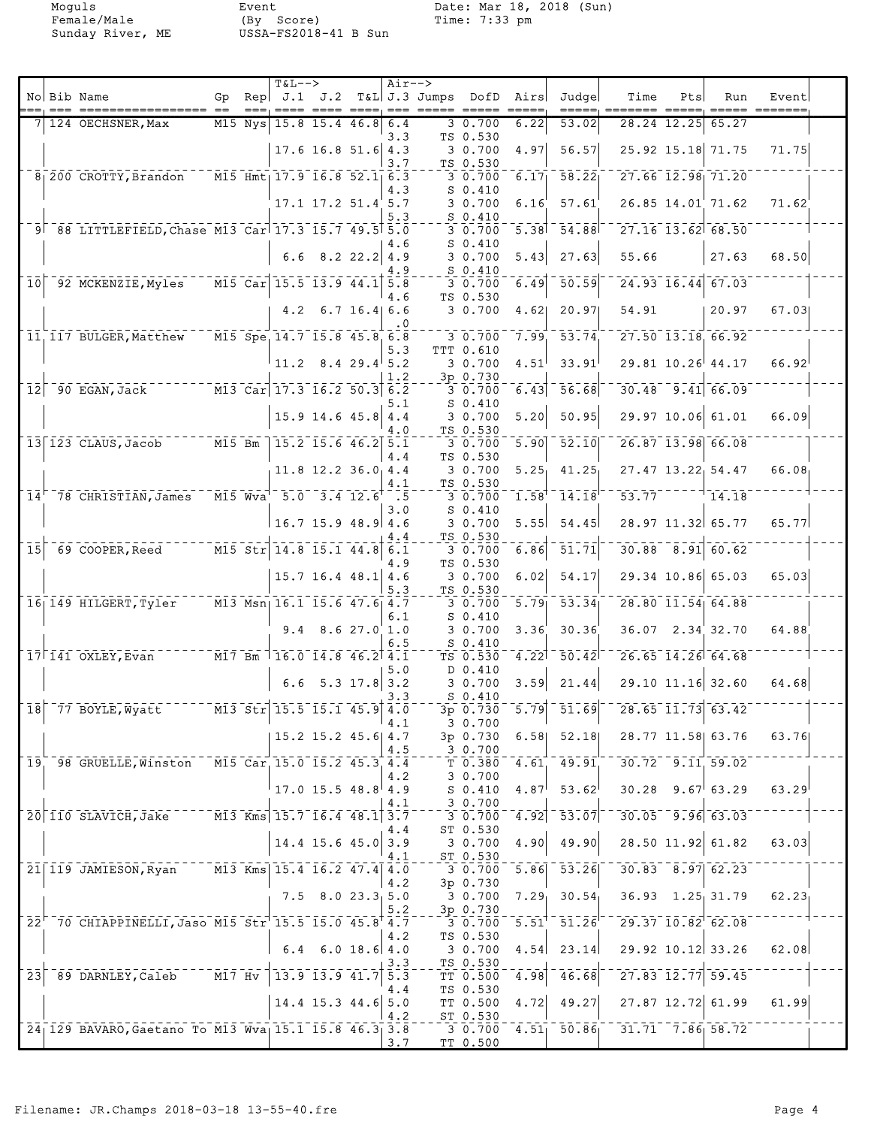|                            | No Bib Name                                                         | Gp |                                    | $T&L-->$<br>Rep $J.1$ $J.2$                                                                              |                                 | $Air--$    | T&L J.3 Jumps DofD Airs |                                   |                 | Judge                                                    | Time                                                    | Pts | Run                     | Event |  |
|----------------------------|---------------------------------------------------------------------|----|------------------------------------|----------------------------------------------------------------------------------------------------------|---------------------------------|------------|-------------------------|-----------------------------------|-----------------|----------------------------------------------------------|---------------------------------------------------------|-----|-------------------------|-------|--|
|                            | 124 OECHSNER, Max                                                   |    | $M15$ Nys                          |                                                                                                          | $15.8$ 15.4 46.8                | 6.4        |                         | 3 0.700                           | $=====$<br>6.22 | 53.02                                                    | 28.24 12.25                                             |     | 65.27                   |       |  |
|                            |                                                                     |    |                                    |                                                                                                          | $17.6$ 16.8 51.6 4.3            | 3.3        |                         | TS 0.530<br>3 0.700               | 4.97            | 56.57                                                    |                                                         |     | 25.92 15.18 71.75       | 71.75 |  |
|                            |                                                                     |    |                                    |                                                                                                          |                                 | 3.7        |                         | TS 0.530                          |                 |                                                          |                                                         |     |                         |       |  |
|                            | $8_{1}$ 200 CROTTY, Brandon M15 Hmt <sub>1</sub> 17.9 16.8 52.1 6.3 |    |                                    |                                                                                                          |                                 | 4.3        |                         | 30.700<br>$S_0.410$               | 6.17            | $\overline{58.22}$                                       | 27.66 12.98 71.20                                       |     |                         |       |  |
|                            |                                                                     |    |                                    |                                                                                                          | $17.1$ $17.2$ $51.4$ $5.7$      | 5.3        |                         | 3 0.700<br>$S_0.410$              | 6.16'           | 57.61                                                    |                                                         |     | $26.85$ 14.01 71.62     | 71.62 |  |
|                            | 9 88 LITTLEFIELD, Chase M13 Car 17.3 15.7 49.5 5.0                  |    |                                    |                                                                                                          |                                 |            |                         | 3 0.700                           | 5.38            | 54.88                                                    | $27.16$ $13.62$ 68.50                                   |     |                         |       |  |
|                            |                                                                     |    |                                    |                                                                                                          | 6.6 8.2 22.2 4.9                | 4.6<br>4.9 |                         | $S_0.410$<br>3 0.700<br>$S_0.410$ | 5.43            | 27.63                                                    | 55.66                                                   |     | 27.63                   | 68.50 |  |
| 10 <sub>1</sub>            | 92 MCKENZIE, Myles                                                  |    |                                    | $\sqrt{15}$ Car 15.5 13.9 44.1 5.8                                                                       |                                 | 4.6        |                         | 3 0.700<br>TS 0.530               | 6.49            | 50.59                                                    |                                                         |     | $24.93$ $16.44$ 67.03   |       |  |
|                            |                                                                     |    |                                    |                                                                                                          | $4.2 \quad 6.7$ 16.4 6.6        | . 0        |                         | 3 0.700                           | 4.62            | 20.97                                                    | 54.91                                                   |     | 20.97                   | 67.03 |  |
|                            | 11 117 BULGER, Matthew                                              |    |                                    | $\overline{M15}$ Spe, 14.7 15.8 45.8 6.8                                                                 |                                 |            |                         | 30.700<br>TTT 0.610               | 7.99            | $\overline{53.74}$                                       | $27.50$ $13.18$ 66.92                                   |     |                         |       |  |
|                            |                                                                     |    |                                    |                                                                                                          | $11.2 \quad 8.4 \quad 29.4$ 5.2 | 5.3        |                         | 3 0.700                           | 4.51            | 33.91                                                    | 29.81 10.26 44.17                                       |     |                         | 66.92 |  |
| 12                         | $-90$ EGAN, Jack                                                    |    |                                    | $\overline{M13}$ $\overline{Car}$ $\overline{17.3}$ $\overline{16.2}$ $\overline{50.3}$ $\overline{6.2}$ |                                 | 1.2        |                         | 3p 0.730<br>$3\overline{0.700}$   |                 | $6.43$ $56.68$                                           | $\overline{30.48}$ $\overline{9.41}$ $\overline{66.09}$ |     |                         |       |  |
|                            |                                                                     |    |                                    |                                                                                                          | $15.9$ 14.6 45.8 4.4            | 5.1        |                         | $S_0.410$<br>3 0.700              | 5.20            | 50.95                                                    |                                                         |     | 29.97 10.06 61.01       | 66.09 |  |
|                            | $13$   123 CLAUS, Jacob $M15$ Bm                                    |    |                                    | $15.2$ $15.6$ $46.2$ $5.1$                                                                               |                                 | 4.0        |                         | TS 0.530<br>30.700                |                 | $\overline{5.90}$ $\overline{52.10}$                     | $26.87$ 13.98 66.08                                     |     |                         |       |  |
|                            |                                                                     |    |                                    |                                                                                                          | $11.8$ 12.2 36.0 4.4            | 4.4        |                         | TS 0.530<br>30.700                | 5.25            | 41.25                                                    |                                                         |     | 27.47 13.22 54.47       | 66.08 |  |
| 14'                        | 78 CHRISTIAN, James                                                 |    |                                    | $M15$ Wva <sup>1</sup> 5.0 3.4 12.6 <sup>+</sup> .5                                                      |                                 | 4.1        |                         | TS 0.530<br>3 0.700               | 1.58            | 14.18                                                    | 53.77                                                   |     | 14.18                   |       |  |
|                            |                                                                     |    |                                    |                                                                                                          | $16.7$ 15.9 48.9 4.6            | 3.0        |                         | $S_0.410$<br>3 0.700              | 5.55            | 54.45                                                    |                                                         |     | 28.97 11.32 65.77       | 65.77 |  |
| $\overline{15}$            | $-69$ COOPER, Reed $-$                                              |    |                                    | M15 Str 14.8 15.1 44.8 6.1                                                                               |                                 | 4.4        |                         | TS 0.530<br>3 0.700               | 6.86            | $\frac{1}{51}.71$                                        |                                                         |     | $30.88$ $8.91$ 60.62    |       |  |
|                            |                                                                     |    |                                    |                                                                                                          | $15.7$ 16.4 48.1 4.6            | 4.9        |                         | TS 0.530<br>30.700                | 6.02            | 54.17                                                    |                                                         |     | 29.34 10.86 65.03       | 65.03 |  |
|                            | 16 149 HILGERT, Tyler                                               |    |                                    | $\overline{M13}$ Msn <sub>1</sub> 16.1 15.6 47.6 4.7                                                     |                                 | 5.3        |                         | TS 0.530<br>3 0.700               | 5.79            | $\overline{53.34}$                                       | $28.80$ $11.54$ 64.88                                   |     |                         |       |  |
|                            |                                                                     |    |                                    |                                                                                                          | $9.4$ $8.6$ $27.0$ 1.0          | 6.1        |                         | $S_0.410$<br>3 0.700              | 3.36            | 30.36                                                    |                                                         |     | $36.07$ $2.34$ $32.70$  | 64.88 |  |
|                            |                                                                     |    |                                    |                                                                                                          |                                 | 6.5        |                         | $S_0.410$                         |                 |                                                          |                                                         |     |                         |       |  |
|                            | $17$ <sup><math>T</math></sup> $141$ OXLEY, Evan                    |    |                                    | $\overline{117}$ Bm $\overline{16.0}$ 14.8 46.2 4.1                                                      |                                 | 5.0        |                         | $TS$ $0.530$<br>D 0.410           | 4.22            | $\overline{50.42}$                                       | $26.65$ $14.26$ $64.68$                                 |     |                         |       |  |
|                            |                                                                     |    |                                    |                                                                                                          | 6.6 5.3 17.8 3.2                | 3.3        |                         | 30.700<br>$S_0.410$               | 3.59            | 21.44                                                    |                                                         |     | 29.10 11.16 32.60       | 64.68 |  |
|                            | $\overline{18}$ $\overline{77}$ BOYLE, Wyatt                        |    |                                    | $\overline{M13}$ Str 15.5 15.1 45.9 4.0                                                                  |                                 | 4.1        |                         | 3p 0.730<br>30.700                |                 | $\overline{5.79}$ $\overline{51.69}$                     |                                                         |     | $28.65$ $11.73$ $63.42$ |       |  |
|                            |                                                                     |    |                                    |                                                                                                          | $15.2$ $15.2$ $45.6$ $4.7$      | 4.5        |                         | 3p 0.730<br>30.700                | 6.58            | 52.18                                                    |                                                         |     | 28.77 11.58 63.76       | 63.76 |  |
|                            | 19, 98 GRUELLE, Winston                                             |    |                                    | M15 Car, 15.0 15.2 45.3 4.4                                                                              |                                 |            |                         | T 0.380                           | 4.61            | 49.91                                                    | $30.72 - 9.11, 59.02$                                   |     |                         |       |  |
|                            |                                                                     |    |                                    |                                                                                                          | $17.0$ 15.5 48.8 4.9            | 4.2        |                         | 30.700<br>$S_0.410$               | 4.87            | 53.62                                                    | $30.28$ 9.67 63.29                                      |     |                         | 63.29 |  |
|                            | $20 110$ SLAVICH, Jake                                              |    |                                    | $\overline{M13}$ Kms 15.7 16.4 48.1 3.7                                                                  |                                 | 4.1        |                         | 3 0.700<br>30.700                 |                 | $\sqrt{4.92}$ $\sqrt{53.07}$                             | $30.05 - 9.96$ 63.03                                    |     |                         |       |  |
|                            |                                                                     |    |                                    |                                                                                                          | $14.4$ 15.6 45.0 3.9            | 4.4        |                         | ST 0.530<br>3 0.700               | 4.90            | 49.90                                                    |                                                         |     | 28.50 11.92 61.82       | 63.03 |  |
|                            | 21 119 JAMIESON, Ryan                                               |    |                                    | $\overline{M13}$ Kms 15.4 16.2 47.4 4.0                                                                  |                                 | 4.1        |                         | ST 0.530<br>3 0.700               | 5.86            | $\overline{53.26}$                                       |                                                         |     | $30.83 - 8.97$ 62.23    |       |  |
|                            |                                                                     |    |                                    |                                                                                                          | $7.5$ 8.0 23.3 5.0              | 4.2        |                         | 3p 0.730<br>3 0.700               |                 | $7.29$ 30.54                                             |                                                         |     | $36.93$ $1.25$ 31.79    | 62.23 |  |
|                            | 22 70 CHIAPPINELLI, Jaso M15 Str 15.5 15.0 45.8 4.7                 |    |                                    |                                                                                                          |                                 | 5.2        |                         | 3p 0.730<br>3 0.700               |                 | $\overline{5.51}^{\dagger}$ $\overline{51.26}^{\dagger}$ | $729.37$ $10.82$ $62.08$                                |     |                         |       |  |
|                            |                                                                     |    |                                    | 6.4                                                                                                      | $6.0$ 18.6 4.0                  | 4.2        |                         | TS 0.530<br>3 0.700               | 4.54            | 23.14                                                    | 29.92 10.12 33.26                                       |     |                         | 62.08 |  |
| $\overline{2}\overline{3}$ | 89 DARNLEY, Caleb                                                   |    | $^{-}$ $^{-}$ M17 $^{-}$ Hv $^{-}$ | $13.9$ $13.9$ $41.7$ $5.3$                                                                               |                                 | 3.3        |                         | TS 0.530<br>TT 0.500              | 4.98            | 46.68                                                    | $27.83$ $12.77$ 59.45                                   |     |                         |       |  |
|                            |                                                                     |    |                                    |                                                                                                          | $14.4$ 15.3 44.6 5.0            | 4.4        |                         | TS 0.530<br>TT 0.500              | 4.72            | 49.27                                                    |                                                         |     | 27.87 12.72 61.99       | 61.99 |  |
|                            |                                                                     |    |                                    |                                                                                                          |                                 | 4.2        |                         | ST 0.530                          |                 |                                                          |                                                         |     |                         |       |  |
|                            | 24 129 BAVARO, Gaetano To M13 Wva 15.1 15.8 46.3 3.8                |    |                                    |                                                                                                          |                                 | 3.7        |                         | 3 0.700<br>TT 0.500               |                 |                                                          | $4.51$   $50.86$   $31.71$ $7.86$   $58.72$             |     |                         |       |  |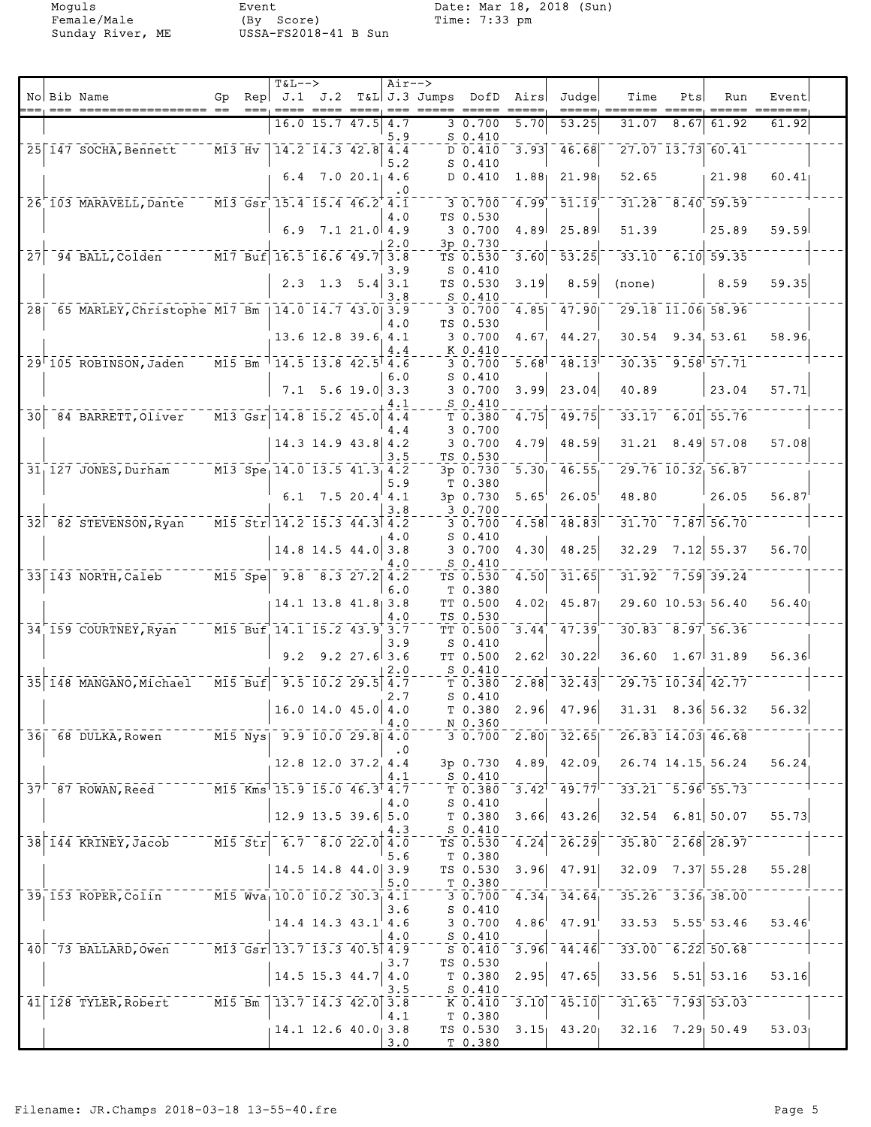|                 |                                                      |          |                      | $T&L-->$                                                                                    |                            |                | $Air--$    |                         |                                             |                     |                  |                                                                                                             |      |                          |                                  |  |
|-----------------|------------------------------------------------------|----------|----------------------|---------------------------------------------------------------------------------------------|----------------------------|----------------|------------|-------------------------|---------------------------------------------|---------------------|------------------|-------------------------------------------------------------------------------------------------------------|------|--------------------------|----------------------------------|--|
|                 | No Bib Name                                          | Gp       |                      | $\text{Rep}$ J.1 J.2<br>$==$ $==$                                                           |                            |                | $==$       | T&L J.3 Jumps DofD Airs |                                             |                     | Judge            | Time                                                                                                        | Pts  | Run<br>$=====$           | Event<br>$=$ $=$ $=$ $=$ $=$ $=$ |  |
|                 |                                                      |          |                      |                                                                                             | 16.0 15.7 47.5             |                | 4.7        |                         | 3 0.700                                     | 5.70                | 53.25            | 31.07                                                                                                       | 8.67 | 61.92                    | 61.92                            |  |
|                 |                                                      |          |                      |                                                                                             |                            |                | 5.9        |                         | $S_0.410$                                   |                     |                  |                                                                                                             |      |                          |                                  |  |
|                 | 25 147 SOCHA, Bennett                                | $M13$ Hv |                      |                                                                                             | $14.2$ $14.3$ $42.8$ $4.4$ |                | 5.2        |                         | $D$ 0.410<br>$S_0.410$                      | $\overline{3.93}$   | 46.68            |                                                                                                             |      | 27.07 13.73 60.41        |                                  |  |
|                 |                                                      |          |                      | 6.4                                                                                         |                            | 7.020.114.6    |            |                         | D 0.410                                     | 1.88 <sub>1</sub>   | 21.98            | 52.65                                                                                                       |      | 21.98                    | 60.41                            |  |
|                 |                                                      |          |                      |                                                                                             |                            |                | . 0        |                         |                                             |                     |                  |                                                                                                             |      |                          |                                  |  |
|                 | 26 103 MARAVELL, Dante                               |          |                      | M13 Gsr 15.4 15.4 46.2 4.1                                                                  |                            |                | 4.0        |                         | 30.700<br>TS 0.530                          | 4.99                | 51.19            |                                                                                                             |      | $31.28$ $8.40$ 59.59     |                                  |  |
|                 |                                                      |          |                      | 6.9                                                                                         |                            | 7.121.04.9     |            |                         | 3 0.700                                     | 4.89                | 25.89            | 51.39                                                                                                       |      | 25.89                    | 59.59                            |  |
| 27              | 94 BALL, Colden                                      |          |                      | $\overline{M17}$ Buf $16.5$ $\overline{16.6}$ 49.7                                          |                            |                | 2.0<br>3.8 |                         | 3p 0.730<br>TS 0.530                        | 3.60                | 53.25            |                                                                                                             |      | $33.10$ 6.10 59.35       |                                  |  |
|                 |                                                      |          |                      |                                                                                             |                            |                | 3.9        |                         | $S_0.410$                                   |                     |                  |                                                                                                             |      |                          |                                  |  |
|                 |                                                      |          |                      |                                                                                             | $2.3$ 1.3 5.4 3.1          |                |            |                         | TS 0.530                                    | 3.19                | 8.59             | (none)                                                                                                      |      | 8.59                     | 59.35                            |  |
|                 | 28 65 MARLEY, Christophe M17 Bm   14.0 14.7 43.0 3.9 |          |                      |                                                                                             |                            |                | 3.8        |                         | $S_0.410$<br>3 0.700                        | 4.85                | 47.90            |                                                                                                             |      | $29.18$ $11.06$ 58.96    |                                  |  |
|                 |                                                      |          |                      |                                                                                             |                            |                | 4.0        |                         | TS 0.530                                    |                     |                  |                                                                                                             |      |                          |                                  |  |
|                 |                                                      |          |                      |                                                                                             | 13.6 12.8 39.6 4.1         |                |            |                         | 3 0.700                                     | 4.67.               | 44.27            |                                                                                                             |      | 30.54 9.34 53.61         | 58.96                            |  |
|                 | 29 105 ROBINSON, Jaden                               |          |                      | $\overline{M15}$ Bm $\overline{114.5}$ $\overline{13.8}$ $\overline{42.5}$ $\overline{4.6}$ |                            |                | 4.4        |                         | K 0.410<br>3 0.700                          | $5.68$ <sup>T</sup> | $\bar{48.13}$    |                                                                                                             |      | $-30.35 - 9.58$ $-57.71$ |                                  |  |
|                 |                                                      |          |                      |                                                                                             |                            |                | 6.0        |                         | $S_0.410$                                   |                     |                  |                                                                                                             |      |                          |                                  |  |
|                 |                                                      |          |                      |                                                                                             | $7.1$ 5.6 19.0 3.3         |                |            |                         | 3 0.700                                     | 3.99                | 23.04            | 40.89                                                                                                       |      | 23.04                    | 57.71                            |  |
| $\overline{30}$ | 84 BARRETT, Oliver                                   |          |                      | $\overline{M13}$ Gsr 14.8 15.2 45.0 4.4                                                     |                            |                | 4.1        |                         | $S_0.410$<br>T 0.380                        | 4.75                | 49.75            |                                                                                                             |      | $33.17 - 6.01$ 55.76     |                                  |  |
|                 |                                                      |          |                      |                                                                                             |                            |                | 4.4        |                         | 3 0.700                                     |                     |                  |                                                                                                             |      |                          |                                  |  |
|                 |                                                      |          |                      |                                                                                             | $14.3$ 14.9 43.8 4.2       |                | 3.5        |                         | 3 0.700<br>TS 0.530                         | 4.79                | 48.59            |                                                                                                             |      | $31.21$ $8.49$ 57.08     | 57.08                            |  |
|                 | $31_1$ 127 JONES, Durham                             |          |                      | M13 Spe 14.0 13.5 41.3 4.2                                                                  |                            |                |            |                         | 3p 0.730                                    | $5.30_1$            | 46.55            |                                                                                                             |      | 29.76 10.32 56.87        |                                  |  |
|                 |                                                      |          |                      |                                                                                             |                            |                | 5.9        |                         | T 0.380                                     |                     |                  |                                                                                                             |      |                          |                                  |  |
|                 |                                                      |          |                      |                                                                                             | $6.1$ 7.5 20.4 4.1         |                | 3.8        |                         | 3p 0.730<br>3 0.700                         | 5.65'               | 26.05            | 48.80                                                                                                       |      | 26.05                    | 56.87                            |  |
|                 | 32 82 STEVENSON, Ryan                                |          |                      | M15 Str 14.2 15.3 44.3 4.2                                                                  |                            |                |            |                         | 3 0.700                                     | 4.58                | 48.83            |                                                                                                             |      | $31.70 - 7.87$ 56.70     |                                  |  |
|                 |                                                      |          |                      |                                                                                             | $14.8$ 14.5 44.0 3.8       |                | 4.0        |                         | $S_0.410$<br>3 0.700                        | 4.30                | 48.25            | 32.29                                                                                                       |      | $7.12$ 55.37             | 56.70                            |  |
|                 |                                                      |          |                      |                                                                                             |                            |                | 4.0        |                         | $S_0.410$                                   |                     |                  |                                                                                                             |      |                          |                                  |  |
|                 | 33 143 NORTH, Caleb                                  |          | $M15$ Spe            |                                                                                             | $9.8$ $8.3$ $27.2$ $4.2$   |                |            |                         | TS 0.530                                    | 4.50                | 31.65            |                                                                                                             |      | $31.92 - 7.59$ 39.24     |                                  |  |
|                 |                                                      |          |                      |                                                                                             | $14.1$ 13.8 $41.8$ 3.8     |                | 6.0        |                         | T 0.380<br>TT 0.500                         | 4.02 <sub>1</sub>   | 45.87            |                                                                                                             |      | 29.60 10.53 56.40        | 56.40                            |  |
|                 |                                                      |          |                      |                                                                                             |                            |                | 4.0        |                         | TS 0.530                                    |                     |                  |                                                                                                             |      |                          |                                  |  |
|                 | 34 159 COURTNEY, Ryan                                |          |                      | M15 Buf 14.1 15.2 43.9 3.7                                                                  |                            |                | 3.9        |                         | TT 0.500<br>$S_0.410$                       | 3.44                | 47.39            |                                                                                                             |      | $30.83$ $8.97$ 56.36     |                                  |  |
|                 |                                                      |          |                      | 9.2                                                                                         |                            | $9.2$ 27.6 3.6 |            |                         | TT 0.500                                    | 2.62                | 30.22            | 36.60                                                                                                       |      | $1.67$ 31.89             | 56.36                            |  |
|                 | 35 148 MANGANO, Michael                              |          | $\overline{M15}$ Buf |                                                                                             | $-9.5 - 10.2 - 29.5$ 4.7   |                | 2.0        |                         | $S_0.410$                                   |                     | 32.43            |                                                                                                             |      | $29.75$ $10.34$ $42.77$  |                                  |  |
|                 |                                                      |          |                      |                                                                                             |                            |                | 2.7        |                         | T 0.380<br>$S_0.410$                        | 2.88                |                  |                                                                                                             |      |                          |                                  |  |
|                 |                                                      |          |                      |                                                                                             | $16.0$ 14.0 45.0 4.0       |                |            |                         | T 0.380                                     | 2.96                | 47.96            | 31.31                                                                                                       |      | 8.36 56.32               | 56.32                            |  |
|                 | 36 68 DULKA, Rowen M15 Nys 9.9 10.0 29.8 4.0         |          |                      |                                                                                             |                            |                | 4.0        |                         | N 0.360                                     |                     |                  | $\overline{3}$ 0.700 2.80 32.65 26.83 14.03 46.68                                                           |      |                          |                                  |  |
|                 |                                                      |          |                      |                                                                                             |                            |                | $\cdot$ 0  |                         |                                             |                     |                  |                                                                                                             |      |                          |                                  |  |
|                 |                                                      |          |                      |                                                                                             | 12.8 12.0 37.2 4.4         |                | 4.1        |                         | 3p 0.730                                    |                     | $4.89$ $42.09$   |                                                                                                             |      | 26.74 14.15 56.24        | 56.24                            |  |
|                 | 37 87 ROWAN, Reed M15 Kms 15.9 15.0 46.3 4.7         |          |                      |                                                                                             |                            |                |            |                         | $S_0.410$<br>T0.380                         |                     |                  | $-3.42$ <sup>1</sup> $-49.77$ <sup>1 -</sup> $-33.21$ $-5.96$ 55.73                                         |      |                          |                                  |  |
|                 |                                                      |          |                      |                                                                                             |                            |                | 4.0        |                         | $S_0.410$                                   |                     |                  |                                                                                                             |      |                          |                                  |  |
|                 |                                                      |          |                      |                                                                                             | $12.9$ 13.5 39.6 5.0       |                | 4.3        |                         | $T$ 0.380<br>$S_{0.410}$                    |                     | $3.66$ 43.26     | $32.54$ 6.81 50.07                                                                                          |      |                          | 55.73                            |  |
|                 | 38 144 KRINEY, Jacob ----- M15 Str 6.7 8.0 22.0 4.0  |          |                      |                                                                                             |                            |                |            |                         | $TS$ $0.530$                                | 4.24                |                  | $26.29$ <sup>--</sup> 35.80 <sup>--</sup> 2.68 <sup>-28.97</sup>                                            |      |                          |                                  |  |
|                 |                                                      |          |                      |                                                                                             | $14.5$ 14.8 44.0 3.9       |                | 5.6        |                         | T 0.380<br>TS 0.530                         |                     | $3.96$ 47.91     | 32.09 7.37 55.28                                                                                            |      |                          | 55.28                            |  |
|                 |                                                      |          |                      |                                                                                             |                            |                | 5.0        |                         | T 0.380                                     |                     |                  |                                                                                                             |      |                          |                                  |  |
|                 | 39 153 ROPER, Colin M15 Wva 10.0 10.2 30.3 4.1       |          |                      |                                                                                             |                            |                |            |                         | $-30.700$                                   |                     | $4.34 - 34.64$   | $-35.26 - 3.36 - 38.00$                                                                                     |      |                          |                                  |  |
|                 |                                                      |          |                      |                                                                                             | $14.4$ 14.3 $43.1$ 4.6     |                | 3.6        |                         | $S_0.410$<br>3 0.700                        |                     | $4.86'$ $47.91'$ | $33.53$ $5.55$ $53.46$                                                                                      |      |                          | 53.46                            |  |
|                 |                                                      |          |                      |                                                                                             |                            |                | 4.0        |                         | $S_0.410$                                   |                     |                  |                                                                                                             |      |                          |                                  |  |
|                 | 40 73 BALLARD, Owen M13 Gsr 13.7 13.3 40.5 4.9       |          |                      |                                                                                             |                            |                |            |                         | S 0.410<br>TS 0.530                         |                     |                  | $-3.96$ $-44.46$ $-33.00$ $-6.22$ 50.68                                                                     |      |                          |                                  |  |
|                 |                                                      |          |                      |                                                                                             | $14.5$ 15.3 44.7 4.0       |                | 3.7        |                         | T 0.380                                     | 2.95                | 47.65            |                                                                                                             |      | $33.56$ $5.51$ $53.16$   | 53.16                            |  |
|                 |                                                      |          |                      |                                                                                             |                            |                | 3.5        |                         | $S_0.410$                                   |                     |                  |                                                                                                             |      |                          |                                  |  |
|                 | $41$ 128 TYLER, Robert M15 Bm 13.7 14.3 42.0 3.8     |          |                      |                                                                                             |                            |                | 4.1        |                         | $-\frac{1}{K}$ $\frac{1}{0.410}$<br>T 0.380 |                     |                  | $\overline{3.10}$ $\overline{45.10}$ $\overline{0}$ $\overline{31.65}$ $\overline{7.93}$ $\overline{53.03}$ |      |                          |                                  |  |
|                 |                                                      |          |                      |                                                                                             | $14.1$ 12.6 $40.0$ 3.8     |                |            |                         | TS 0.530                                    |                     |                  | $3.15$ 43.20 32.16 7.29 50.49 53.03                                                                         |      |                          |                                  |  |
|                 |                                                      |          |                      |                                                                                             |                            |                | 3.0        |                         | T 0.380                                     |                     |                  |                                                                                                             |      |                          |                                  |  |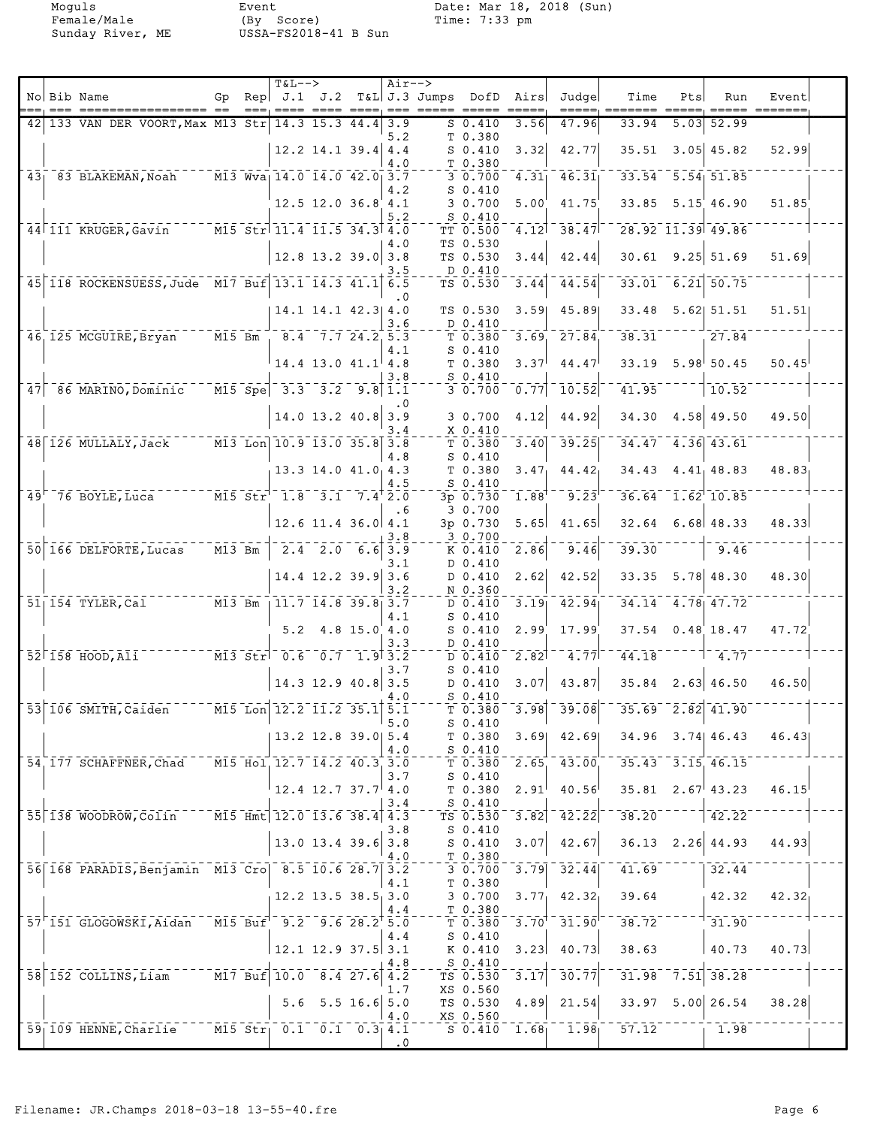|     |                                                               |           | <b>T&amp;L--&gt;</b>                                             |                            |                  | $Air--$   |                                         |                                                                        |                                                          |                                                                             |                                                               |                          |                                                           |  |
|-----|---------------------------------------------------------------|-----------|------------------------------------------------------------------|----------------------------|------------------|-----------|-----------------------------------------|------------------------------------------------------------------------|----------------------------------------------------------|-----------------------------------------------------------------------------|---------------------------------------------------------------|--------------------------|-----------------------------------------------------------|--|
|     | No Bib Name                                                   | Gp        |                                                                  |                            |                  |           | $\text{Rep}$ J.1 J.2 T&L J.3 Jumps DofD | Airs<br>$\qquad \qquad \doteq\qquad \qquad \doteq\qquad \qquad \qquad$ | Judge                                                    | Time<br>=====, =======                                                      | Pts<br>$\qquad \qquad \qquad = \qquad \qquad = \qquad \qquad$ | Run<br>$=====$           | Event<br>$\qquad \qquad \overline{\qquad \qquad }==-=-=-$ |  |
| 421 | 133 VAN DER VOORT, Max M13 Str 14.3 15.3 44.4                 |           |                                                                  |                            |                  | 3.9       | $S_0.410$                               | 3.56                                                                   | 47.96                                                    | 33.94                                                                       | 5.03                                                          | 52.99                    |                                                           |  |
|     |                                                               |           |                                                                  |                            |                  | 5.2       | T 0.380                                 |                                                                        |                                                          |                                                                             |                                                               |                          |                                                           |  |
|     |                                                               |           |                                                                  | $12.2$ 14.1 39.4 4.4       |                  | 4.0       | $S_0.410$<br>T 0.380                    | 3.32                                                                   | 42.77                                                    | 35.51                                                                       |                                                               | $3.05$ 45.82             | 52.99                                                     |  |
|     | 43 83 BLAKEMAN, Noah M13 Wva 14.0 14.0 42.0 3.7               |           |                                                                  |                            |                  |           | 3 0.700                                 | $\overline{4.31}$                                                      | 46.31                                                    |                                                                             |                                                               | $33.54$ $5.54$ $51.85$   |                                                           |  |
|     |                                                               |           |                                                                  | $12.5$ $12.0$ $36.8$ $4.1$ |                  | 4.2       | $S_0.410$<br>30.700                     | 5.00                                                                   | 41.75                                                    |                                                                             |                                                               | $33.85$ $5.15$ $46.90$   | 51.85                                                     |  |
|     |                                                               |           |                                                                  |                            |                  | 5.2       | $S_0.410$                               |                                                                        |                                                          |                                                                             |                                                               |                          |                                                           |  |
|     | 44 111 KRUGER, Gavin                                          |           | $\overline{M15}$ Str 11.4 11.5 34.3 4.0                          |                            |                  |           | TT 0.500                                | 4.12                                                                   | 38.47                                                    |                                                                             |                                                               | $28.92$ $11.39$ $49.86$  |                                                           |  |
|     |                                                               |           |                                                                  | $12.8$ 13.2 39.0 3.8       |                  | 4.0       | TS 0.530<br>TS 0.530                    | 3.44                                                                   | 42.44                                                    |                                                                             |                                                               | $30.61$ 9.25 51.69       | 51.69                                                     |  |
|     |                                                               |           |                                                                  |                            |                  | 3.5       | D 0.410                                 |                                                                        |                                                          |                                                                             |                                                               |                          |                                                           |  |
|     | 45 118 ROCKENSUESS, Jude M17 Buf 13.1 14.3 41.1 6.5           |           |                                                                  |                            |                  | . 0       | TS 0.530                                | 3.44                                                                   | 44.54                                                    |                                                                             |                                                               | $33.01$ 6.21 50.75       |                                                           |  |
|     |                                                               |           |                                                                  | $14.1$ $14.1$ $42.3$ $4.0$ |                  |           | TS 0.530                                | 3.59                                                                   | 45.89                                                    | 33.48                                                                       |                                                               | $5.62$ $51.51$           | 51.51                                                     |  |
|     |                                                               |           |                                                                  |                            |                  | 3.6       | D 0.410                                 |                                                                        |                                                          |                                                                             |                                                               |                          |                                                           |  |
|     | 46 125 MCGUIRE, Bryan                                         |           | $\overline{M15}$ Bm $\overline{8.4}$ 7.7 24.2 5.3                |                            |                  | 4.1       | T 0.380<br>$S_0.410$                    | 3.69                                                                   | 27.84                                                    | 38.31                                                                       |                                                               | 27.84                    |                                                           |  |
|     |                                                               |           |                                                                  | $14.4$ 13.0 $41.1$ 4.8     |                  |           | T 0.380                                 | 3.37                                                                   | 44.47                                                    |                                                                             |                                                               | $33.19$ $5.98$ $50.45$   | 50.45                                                     |  |
|     | $47$ $86$ MARINO, Dominic                                     |           | $\overline{M15}$ Spe 3.3 3.2 9.8 1.1                             |                            |                  | 3.8       | $S_0.410$<br>30.700                     |                                                                        | $0.77$ 10.52                                             | 741.95                                                                      |                                                               | 10.52                    |                                                           |  |
|     |                                                               |           |                                                                  |                            |                  |           |                                         |                                                                        |                                                          |                                                                             |                                                               |                          |                                                           |  |
|     |                                                               |           |                                                                  | $14.0$ 13.2 $40.8$ 3.9     |                  |           | 30.700                                  | 4.12                                                                   | 44.92                                                    |                                                                             |                                                               | $34.30$ $4.58$ $49.50$   | 49.50                                                     |  |
|     | 48 126 MULLALY, Jack M13 Lon 10.9 13.0 35.8 3.8               |           |                                                                  |                            |                  |           | X 0.410<br>T <sub>0.380</sub>           | 3.40                                                                   | 39.25                                                    |                                                                             |                                                               | $34.47$ $4.36$ $43.61$   |                                                           |  |
|     |                                                               |           |                                                                  |                            |                  | 4.8       | $S$ 0.410                               |                                                                        |                                                          |                                                                             |                                                               |                          |                                                           |  |
|     |                                                               |           |                                                                  | $13.3$ $14.0$ $41.0$ $4.3$ |                  | 4.5       | T 0.380<br>$S_0.410$                    | 3.47                                                                   | 44.42                                                    |                                                                             |                                                               | $34.43$ $4.41$ $48.83$   | 48.83                                                     |  |
|     | 49 76 BOYLE, Luca M15 Str <sup>1</sup> 1.8 3.1 7.4 2.0        |           |                                                                  |                            |                  |           | 3p 0.730                                | 1.88                                                                   | $\overline{9.23}$                                        |                                                                             |                                                               | $36.64 - 1.62 - 10.85$   |                                                           |  |
|     |                                                               |           |                                                                  | $12.6$ 11.4 36.0 4.1       |                  | . 6       | 3 0.700<br>3p 0.730                     | 5.65                                                                   | 41.65                                                    | 32.64                                                                       |                                                               | $6.68$ 48.33             | 48.33                                                     |  |
|     |                                                               |           |                                                                  |                            |                  | 3.8       | 3 0.700                                 |                                                                        |                                                          |                                                                             |                                                               |                          |                                                           |  |
|     | 50 166 DELFORTE, Lucas                                        | $-M13$ Bm | $\begin{bmatrix} 2.4 & 2.0 & 6.6 \end{bmatrix}$ 3.9              |                            |                  |           | K 0.410                                 | 2.86                                                                   | 9.46                                                     | 39.30                                                                       |                                                               | 9.46                     |                                                           |  |
|     |                                                               |           |                                                                  | $14.4$ 12.2 39.9 3.6       |                  | 3.1       | D 0.410<br>D 0.410                      | 2.62                                                                   | 42.52                                                    |                                                                             |                                                               | $33.35$ $5.78$ 48.30     | 48.30                                                     |  |
|     |                                                               |           |                                                                  |                            |                  | 3.2       | N 0.360                                 |                                                                        |                                                          |                                                                             |                                                               |                          |                                                           |  |
|     | $M13$ Bm $11.7$ $14.8$ 39.8 3.7<br>$51$   154 TYLER, Cal      |           |                                                                  |                            |                  | 4.1       | D 0.410<br>$S_0.410$                    | 3.19                                                                   | 42.94                                                    |                                                                             |                                                               | $34.14$ $4.78$ $47.72$   |                                                           |  |
|     |                                                               |           |                                                                  | $5.2$ 4.8 15.0 4.0         |                  |           | $S_0.410$                               | 2.99                                                                   | 17.99                                                    |                                                                             |                                                               | $37.54$ 0.48 18.47       | 47.72                                                     |  |
|     |                                                               |           |                                                                  |                            |                  | 3.3       | D 0.410                                 |                                                                        | 4.77                                                     | 44.18                                                                       |                                                               |                          |                                                           |  |
|     | 52 158 HOOD, Ali                                              |           |                                                                  |                            |                  | 3.7       | $D \overline{0.410}$<br>$S_0.410$       | $\overline{2.82}$                                                      |                                                          |                                                                             |                                                               | $-4.77$                  |                                                           |  |
|     |                                                               |           |                                                                  | $14.3$ 12.9 40.8 3.5       |                  |           | D 0.410                                 | 3.07                                                                   | 43.87                                                    |                                                                             |                                                               | $35.84$ 2.63 46.50       | 46.50                                                     |  |
|     | 53 106 SMITH, Caiden                                          |           | $\overline{15}$ M15 Lon 12.2 11.2 35.1 5.1                       |                            |                  | 4.O       | $S_0.410$<br>T0.380                     |                                                                        | $\overline{3.98}$ $\overline{39.08}$                     |                                                                             |                                                               | $35.69 - 2.82 - 41.90$   |                                                           |  |
|     |                                                               |           |                                                                  |                            |                  | 5.0       | $S_0.410$                               |                                                                        |                                                          |                                                                             |                                                               |                          |                                                           |  |
|     |                                                               |           |                                                                  | 13.2 12.8 39.0 5.4         |                  | 4.0       | T <sub>0.380</sub><br>$S_0.410$         | 3.69                                                                   | 42.69                                                    |                                                                             |                                                               | $34.96$ $3.74$ $46.43$   | 46.43                                                     |  |
|     | 54, 177 SCHAFFNER, Chad                                       |           | $\overline{M15}$ Hol, 12.7 14.2 40.3 3.0                         |                            |                  |           | T <sub>0.380</sub>                      | 2.65                                                                   | 43.00                                                    | $35.43 - 3.15$ 46.15                                                        |                                                               |                          |                                                           |  |
|     |                                                               |           |                                                                  |                            |                  | 3.7       | $S_0.410$                               | 2.91                                                                   |                                                          |                                                                             |                                                               | $35.81 \quad 2.67$ 43.23 |                                                           |  |
|     |                                                               |           |                                                                  | $12.4$ 12.7 37.7 4.0       |                  | 3.4       | T0.380<br>$S_0.410$                     |                                                                        | 40.56                                                    |                                                                             |                                                               |                          | 46.15                                                     |  |
|     | 55 138 WOODROW, Colin M15 Hmt 12.0 13.6 38.4 4.3              |           |                                                                  |                            |                  |           | TS 0.530                                | 3.82                                                                   | $\overline{4}\overline{2}\cdot 2\overline{2}$            | 38.20                                                                       |                                                               | $7 - 22$                 |                                                           |  |
|     |                                                               |           |                                                                  | $13.0$ 13.4 39.6 3.8       |                  | 3.8       | $S$ 0.410<br>$S_0.410$                  | 3.07                                                                   | 42.67                                                    |                                                                             |                                                               | $36.13$ $2.26$ 44.93     | 44.93                                                     |  |
|     |                                                               |           |                                                                  |                            |                  | 4.0       | T 0.380                                 |                                                                        |                                                          |                                                                             |                                                               |                          |                                                           |  |
|     | 56 168 PARADIS, Benjamin M13 Cro 8.5 10.6 28.7 3.2            |           |                                                                  |                            |                  | 4.1       | 30.700<br>T 0.380                       | $\overline{3.79}$                                                      | 32.44                                                    | 41.69                                                                       |                                                               | 32.44                    |                                                           |  |
|     |                                                               |           |                                                                  | $12.2$ 13.5 38.5 3.0       |                  |           | 3 0.700                                 | 3.77 <sub>1</sub>                                                      | 42.32                                                    | 39.64                                                                       |                                                               | 42.32                    | 42.32                                                     |  |
|     |                                                               |           |                                                                  |                            |                  | 4.4       | T 0.380                                 |                                                                        |                                                          |                                                                             |                                                               |                          |                                                           |  |
|     | 57 151 GLOGOWSKI, Aidan M15 Buf <sup>1</sup> 9.2 9.6 28.2 5.0 |           |                                                                  |                            |                  | 4.4       | T 0.380<br>$S_0.410$                    |                                                                        | $\overline{3.70}^{\dagger}$ $\overline{31.90}^{\dagger}$ | $38.72$ <sup>----</sup>                                                     |                                                               | $T - 31.90$              |                                                           |  |
|     |                                                               |           |                                                                  | $12.1$ $12.9$ $37.5$ $3.1$ |                  |           | K 0.410                                 | 3.23                                                                   | 40.73                                                    | 38.63                                                                       |                                                               | 40.73                    | 40.73                                                     |  |
|     | 58 152 COLLINS, Liam                                          |           | $\overline{M17}$ Buf $\overline{10.0}$ $\overline{8.4}$ 27.6 4.2 |                            |                  | 4.8       | $S_0.410$<br>TS 0.530                   | $\overline{3.17}$                                                      | 30.77                                                    |                                                                             |                                                               | $31.98 - 7.51$ 38.28     |                                                           |  |
|     |                                                               |           |                                                                  |                            |                  | 1.7       | XS 0.560                                |                                                                        |                                                          |                                                                             |                                                               |                          |                                                           |  |
|     |                                                               |           | 5.6                                                              |                            | $5.5$ 16.6 $5.0$ |           | TS 0.530                                | 4.89                                                                   | 21.54                                                    |                                                                             |                                                               | $33.97$ 5.00 26.54       | 38.28                                                     |  |
|     | 59 109 HENNE, Charlie M15 Str 0.1 0.1 0.3 4.1                 |           |                                                                  |                            |                  | 4.0       | XS 0.560                                |                                                                        |                                                          | $\overline{S}$ 0.410 $\overline{1.68}$ $\overline{1.98}$ $\overline{57.12}$ |                                                               | 1.98                     |                                                           |  |
|     |                                                               |           |                                                                  |                            |                  | $\cdot$ 0 |                                         |                                                                        |                                                          |                                                                             |                                                               |                          |                                                           |  |